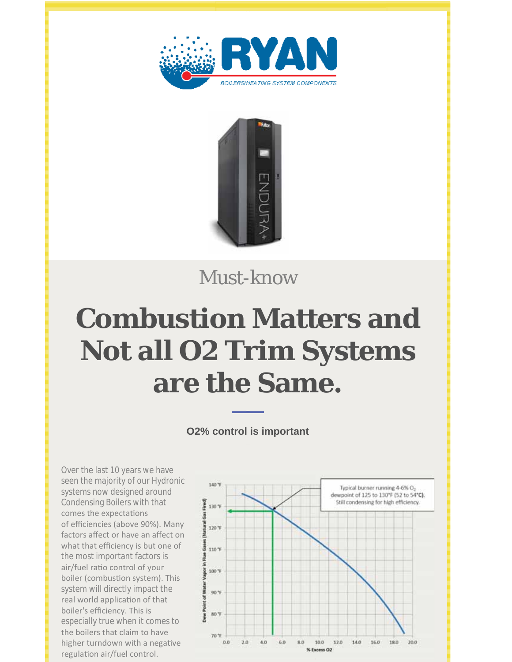



Must-know

# **Combustion Matters and Not all O2 Trim Systems are the Same.**

**O2% control is important**

Over the last 10 years we have seen the majority of our Hydronic systems now designed around Condensing Boilers with that comes the expectations of efficiencies (above 90%). Many factors affect or have an affect on what that efficiency is but one of the most important factors is air/fuel ratio control of your boiler (combustion system). This system will directly impact the real world application of that boiler's efficiency. This is especially true when it comes to the boilers that claim to have higher turndown with a negative regulation air/fuel control.

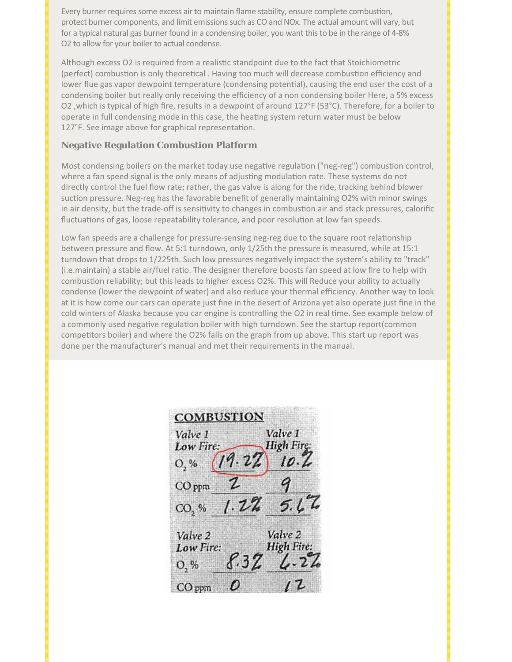Every burner requires some excess air to maintain flame stability, ensure complete combustion, protect burner components, and limit emissions such as CO and NOx. The actual amount will vary, but for a typical natural gas burner found in a condensing boiler, you want this to be in the range of 4-8% O2 to allow for your boiler to actual condense.

Although excess O2 is required from a realistic standpoint due to the fact that Stoichiometric (perfect) combustion is only theoretical . Having too much will decrease combustion efficiency and lower flue gas vapor dewpoint temperature (condensing potential), causing the end user the cost of a condensing boiler but really only receiving the efficiency of a non condensing boiler Here, a 5% excess O2, which is typical of high fire, results in a dewpoint of around 127°F (53°C). Therefore, for a boiler to operate in full condensing mode in this case, the heating system return water must be below 127°F. See image above for graphical representation.

### **Negative Regulation Combustion Platform**

Most condensing boilers on the market today use negative regulation ("neg-reg") combustion control, where a fan speed signal is the only means of adjusting modulation rate. These systems do not directly control the fuel flow rate; rather, the gas valve is along for the ride, tracking behind blower suction pressure. Neg-reg has the favorable benefit of generally maintaining O2% with minor swings in air density, but the trade-off is sensitivity to changes in combustion air and stack pressures, calorific fluctuations of gas, loose repeatability tolerance, and poor resolution at low fan speeds.

Low fan speeds are a challenge for pressure-sensing neg-reg due to the square root relationship between pressure and flow. At 5:1 turndown, only 1/25th the pressure is measured, while at 15:1 turndown that drops to 1/225th. Such low pressures negatively impact the system's ability to "track" (i.e. maintain) a stable air/fuel ratio. The designer therefore boosts fan speed at low fire to help with combustion reliability; but this leads to higher excess O2%. This will Reduce your ability to actually condense (lower the dewpoint of water) and also reduce your thermal efficiency. Another way to look at it is how come our cars can operate just fine in the desert of Arizona yet also operate just fine in the cold winters of Alaska because you car engine is controlling the O2 in real time. See example below of a commonly used negative regulation boiler with high turndown. See the startup report(common competitors boiler) and where the O2% falls on the graph from up above. This start up report was done per the manufacturer's manual and met their requirements in the manual.

**COMBUSTION** Valve 1 Valve 1 **High Fire** Low Fire: O. %  $CO$  ppm  $1.22$  $CO<sub>2</sub>$ % Valve 2 Valve 2 **High Fire** Low Fire: O, %  $CO$  ppm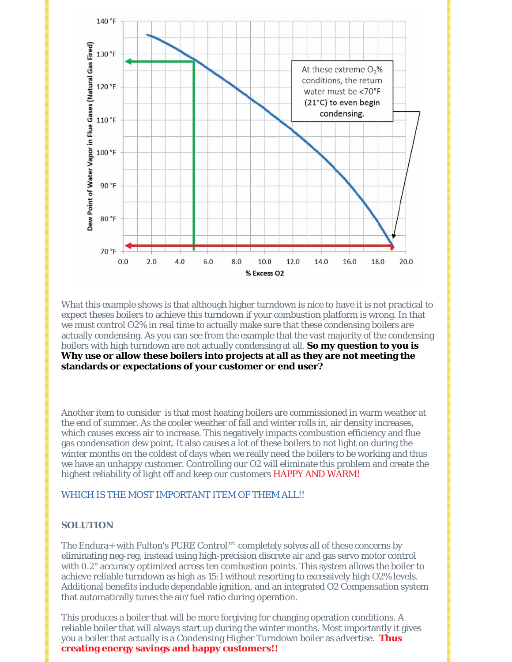

What this example shows is that although higher turndown is nice to have it is not practical to expect theses boilers to achieve this turndown if your combustion platform is wrong. In that we must control O2% in real time to actually make sure that these condensing boilers are actually condensing. As you can see from the example that the vast majority of the condensing boilers with high turndown are not actually condensing at all. **So my question to you is Why use or allow these boilers into projects at all as they are not meeting the standards or expectations of your customer or end user?**

Another item to consider is that most heating boilers are commissioned in warm weather at the end of summer. As the cooler weather of fall and winter rolls in, air density increases, which causes excess air to increase. This negatively impacts combustion efficiency and flue gas condensation dew point. It also causes a lot of these boilers to not light on during the winter months on the coldest of days when we really need the boilers to be working and thus we have an unhappy customer. Controlling our O2 will eliminate this problem and create the highest reliability of light off and keep our customers HAPPY AND WARM!

#### WHICH IS THE MOST IMPORTANT ITEM OF THEM ALL!!

#### **SOLUTION**

The Endura+ with Fulton's PURE Control™ completely solves all of these concerns by eliminating neg-reg, instead using high-precision discrete air and gas servo motor control with 0.2° accuracy optimized across ten combustion points. This system allows the boiler to achieve reliable turndown as high as 15:1 without resorting to excessively high O2% levels. Additional benefits include dependable ignition, and an integrated O2 Compensation system that automatically tunes the air/fuel ratio during operation.

This produces a boiler that will be more forgiving for changing operation conditions. A reliable boiler that will always start up during the winter months. Most importantly it gives you a boiler that actually is a Condensing Higher Turndown boiler as advertise. **Thus creating energy savings and happy customers!!**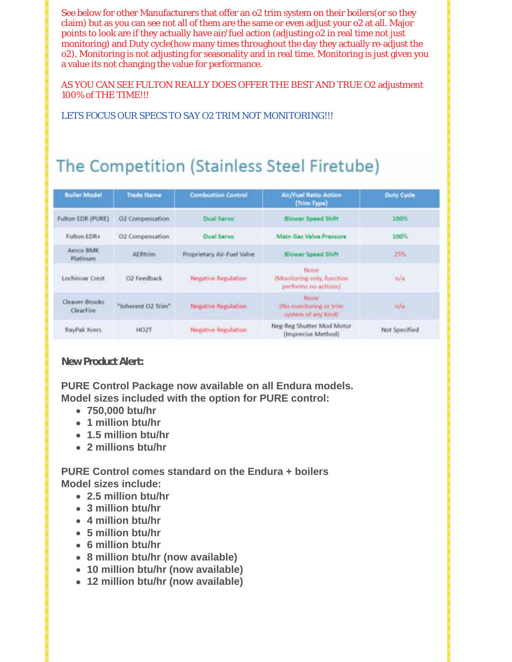See below for other Manufacturers that offer an o2 trim system on their boilers(or so they claim) but as you can see not all of them are the same or even adjust your o2 at all. Major points to look are if they actually have air/fuel action (adjusting o2 in real time not just monitoring) and Duty cycle(how many times throughout the day they actually re-adjust the o2). Monitoring is not adjusting for seasonality and in real time. Monitoring is just given you a value its not changing the value for performance.

AS YOU CAN SEE FULTON REALLY DOES OFFER THE BEST AND TRUE O2 adjustment 100% of THE TIME!!!

LETS FOCUS OUR SPECS TO SAY O2 TRIM NOT MONITORING!!!

## The Competition (Stainless Steel Firetube)

| <b>Boiler Model</b>         | <b>Trade Name</b>  | <b>Combustion Control</b>  | <b>Air/Fuel Ratio Action</b><br>(Trim Type)                | Duty Cycle    |
|-----------------------------|--------------------|----------------------------|------------------------------------------------------------|---------------|
| <b>Fulton EDR (PURE)</b>    | 02 Comperisation   | <b>Dual Servo</b>          | <b>Blower Speed Shift</b>                                  | 100%          |
| Fulton EDR+                 | O2 Compensation    | <b>Dual Servo</b>          | Main Gas Valve Pressure                                    | 100%          |
| Aerco BMK<br>Platinum       | <b>AERtrim</b>     | Proprietary Air-Fuel Valve | <b>Blower Speed Shift</b>                                  | $-25%$        |
| Lochinvar Crest             | O2 Feedback        | <b>Negative Regulation</b> | None<br>(Monitoring only, function<br>performs no actions) | n/a           |
| Cleaver-Brooks<br>ClearFire | "Inherent O2 Trim" | Negative Regulation        | None<br>(No monitoring or trim<br>system of any kind)      | n/a           |
| RayPak Xvers                | HO <sub>2</sub> T  | <b>Negative Regulation</b> | Neg-Reg Shutter Mod Motor<br>(Imprecise Method)            | Not Specified |

**New Product Alert:**

**PURE Control Package now available on all Endura models. Model sizes included with the option for PURE control:**

- **750,000 btu/hr**
- **1 million btu/hr**
- **1.5 million btu/hr**
- **2 millions btu/hr**

**PURE Control comes standard on the Endura + boilers Model sizes include:**

- **2.5 million btu/hr**
- **3 million btu/hr**
- **4 million btu/hr**
- **5 million btu/hr**
- **6 million btu/hr**
- **8 million btu/hr (now available)**
- **10 million btu/hr (now available)**
- **12 million btu/hr (now available)**